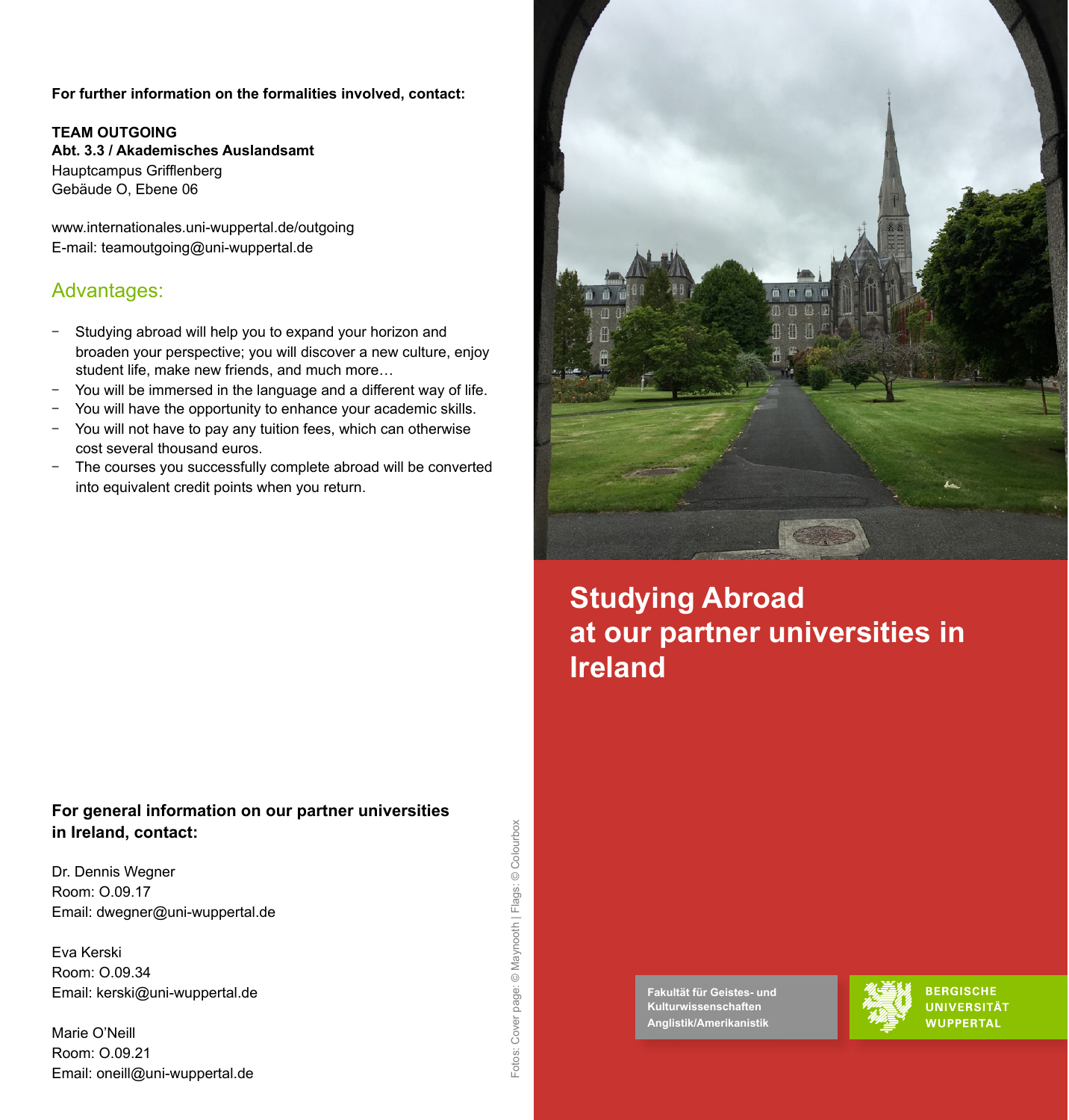**For further information on the formalities involved, contact:** 

#### **TEAM OUTGOING**

**Abt. 3.3 / Akademisches Auslandsamt** Hauptcampus Grifflenberg Gebäude O, Ebene 06

www.internationales.uni-wuppertal.de/outgoing E-mail: teamoutgoing@uni-wuppertal.de

### Advantages:

- Studying abroad will help you to expand your horizon and broaden your perspective; you will discover a new culture, enjoy student life, make new friends, and much more…
- You will be immersed in the language and a different way of life.
- You will have the opportunity to enhance your academic skills.
- You will not have to pay any tuition fees, which can otherwise cost several thousand euros.
- The courses you successfully complete abroad will be converted into equivalent credit points when you return.

### **For general information on our partner universities in Ireland, contact:**

Dr. Dennis Wegner Room: O.09.17 Email: dwegner@uni-wuppertal.de

Eva Kerski Room: O.09.34 Email: kerski@uni-wuppertal.de

Marie O'Neill Room: O.09.21 Email: oneill@uni-wuppertal.de



# **Studying Abroad at our partner universities in Ireland**

**Fakultät für Geistes- und Kulturwissenschaften Anglistik/Amerikanistik** 



**BERGISCHE UNIVERSITÄT WUPPERTAL**